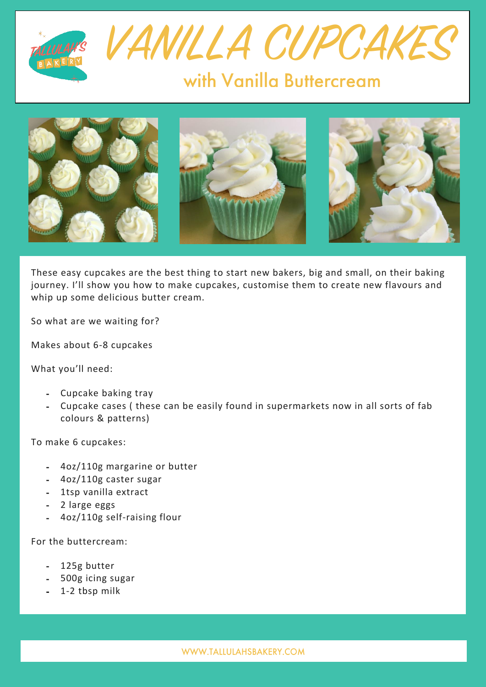





These easy cupcakes are the best thing to start new bakers, big and small, on their baking journey. I'll show you how to make cupcakes, customise them to create new flavours and whip up some delicious butter cream.

So what are we waiting for?

Makes about 6-8 cupcakes

What you'll need:

- Cupcake baking tray
- Cupcake cases ( these can be easily found in supermarkets now in all sorts of fab colours & patterns)

To make 6 cupcakes:

- 4oz/110g margarine or butter
- 4oz/110g caster sugar
- 1tsp vanilla extract
- 2 large eggs
- 4oz/110g self-raising flour

For the buttercream:

- 125g butter
- 500g icing sugar
- 1-2 tbsp milk

WWW.TALLULAHSBAKERY.COM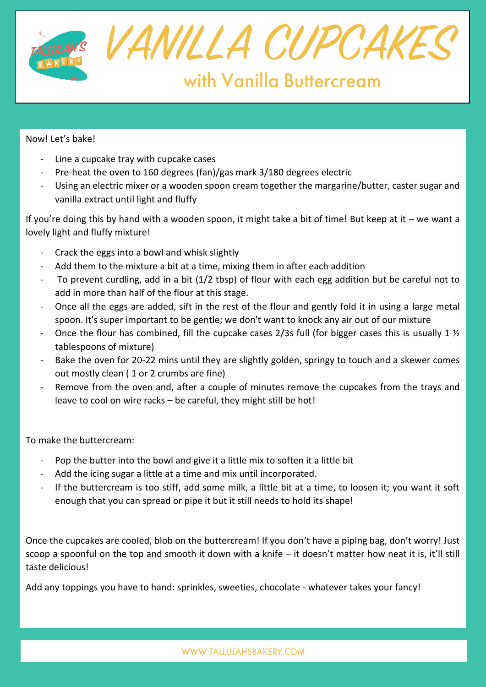

## Now! Let's bake!

- Line a cupcake tray with cupcake cases
- Pre-heat the oven to 160 degrees (fan)/gas mark 3/180 degrees electric
- Using an electric mixer or a wooden spoon cream together the margarine/butter, caster sugar and vanilla extract until light and fluffy

If you're doing this by hand with a wooden spoon, it might take a bit of time! But keep at it – we want a lovely light and fluffy mixture!

- Crack the eggs into a bowl and whisk slightly
- Add them to the mixture a bit at a time, mixing them in after each addition
- To prevent curdling, add in a bit (1/2 tbsp) of flour with each egg addition but be careful not to add in more than half of the flour at this stage.
- Once all the eggs are added, sift in the rest of the flour and gently fold it in using a large metal spoon. It's super important to be gentle; we don't want to knock any air out of our mixture
- Once the flour has combined, fill the cupcake cases 2/3s full (for bigger cases this is usually 1  $\frac{1}{2}$ tablespoons of mixture)
- Bake the oven for 20-22 mins until they are slightly golden, springy to touch and a skewer comes out mostly clean ( 1 or 2 crumbs are fine)
- Remove from the oven and, after a couple of minutes remove the cupcakes from the trays and leave to cool on wire racks – be careful, they might still be hot!

To make the buttercream:

- Pop the butter into the bowl and give it a little mix to soften it a little bit
- Add the icing sugar a little at a time and mix until incorporated.
- If the buttercream is too stiff, add some milk, a little bit at a time, to loosen it; you want it soft enough that you can spread or pipe it but it still needs to hold its shape!

Once the cupcakes are cooled, blob on the buttercream! If you don't have a piping bag, don't worry! Just scoop a spoonful on the top and smooth it down with a knife – it doesn't matter how neat it is, it'll still taste delicious!

Add any toppings you have to hand: sprinkles, sweeties, chocolate - whatever takes your fancy!